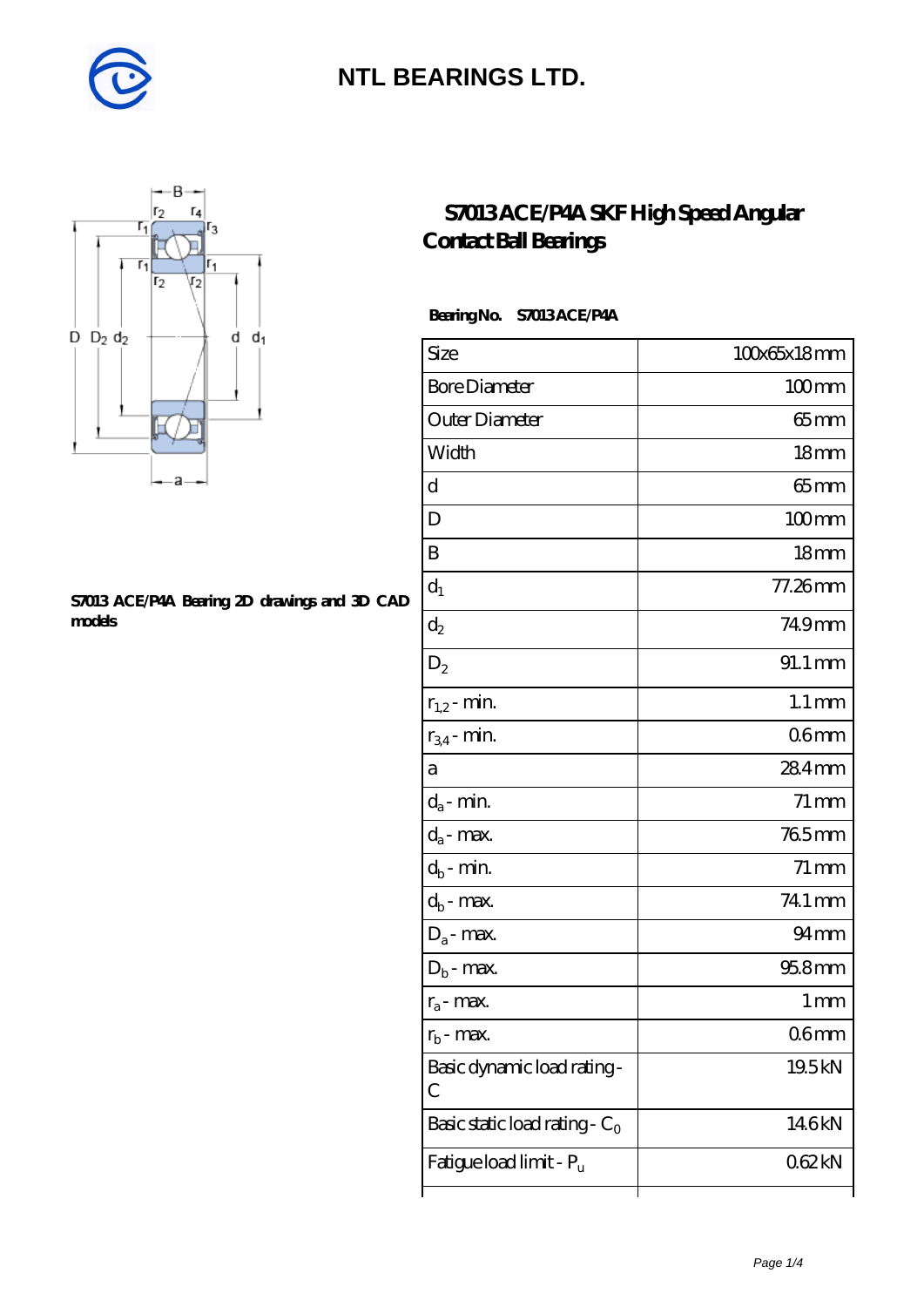



#### **[S7013 ACE/P4A Bearing 2D drawings and 3D CAD](https://m.diabetesfriends.net/pic-590816.html) [models](https://m.diabetesfriends.net/pic-590816.html)**

### **[S7013 ACE/P4A SKF High Speed Angular](https://m.diabetesfriends.net/skf-bearing/s7013-ace-p4a.html) [Contact Ball Bearings](https://m.diabetesfriends.net/skf-bearing/s7013-ace-p4a.html)**

### **Bearing No. S7013 ACE/P4A**

| Size                             | 100x65x18mm          |
|----------------------------------|----------------------|
| <b>Bore Diameter</b>             | $100$ mm             |
| Outer Diameter                   | $65$ mm              |
| Width                            | 18 <sub>mm</sub>     |
| d                                | $65$ mm              |
| D                                | $100$ mm             |
| B                                | 18 <sub>mm</sub>     |
| $d_1$                            | 77.26mm              |
| $\mathrm{d}_2$                   | 749mm                |
| $D_2$                            | $91.1 \,\mathrm{mm}$ |
| $r_{1,2}$ - min.                 | $1.1 \,\mathrm{mm}$  |
| $r_{34}$ - min.                  | 06 <sub>mm</sub>     |
| а                                | 284mm                |
| $d_a$ - min.                     | $71 \,\mathrm{mm}$   |
| $d_{\boldsymbol{a}}$ - max.      | 765mm                |
| $d_b$ - min.                     | $71 \,\mathrm{mm}$   |
| $d_b$ - $max$ .                  | 741 mm               |
| $D_a$ - max.                     | 94 mm                |
| $D_b$ - max.                     | $958$ mm             |
| $r_a$ - max.                     | 1 <sub>mm</sub>      |
| $r_{\rm h}$ - max.               | 06mm                 |
| Basic dynamic load rating-<br>С  | 19.5kN               |
| Basic static load rating - $C_0$ | 146kN                |
| Fatigue load limit - Pu          | 062kN                |
|                                  |                      |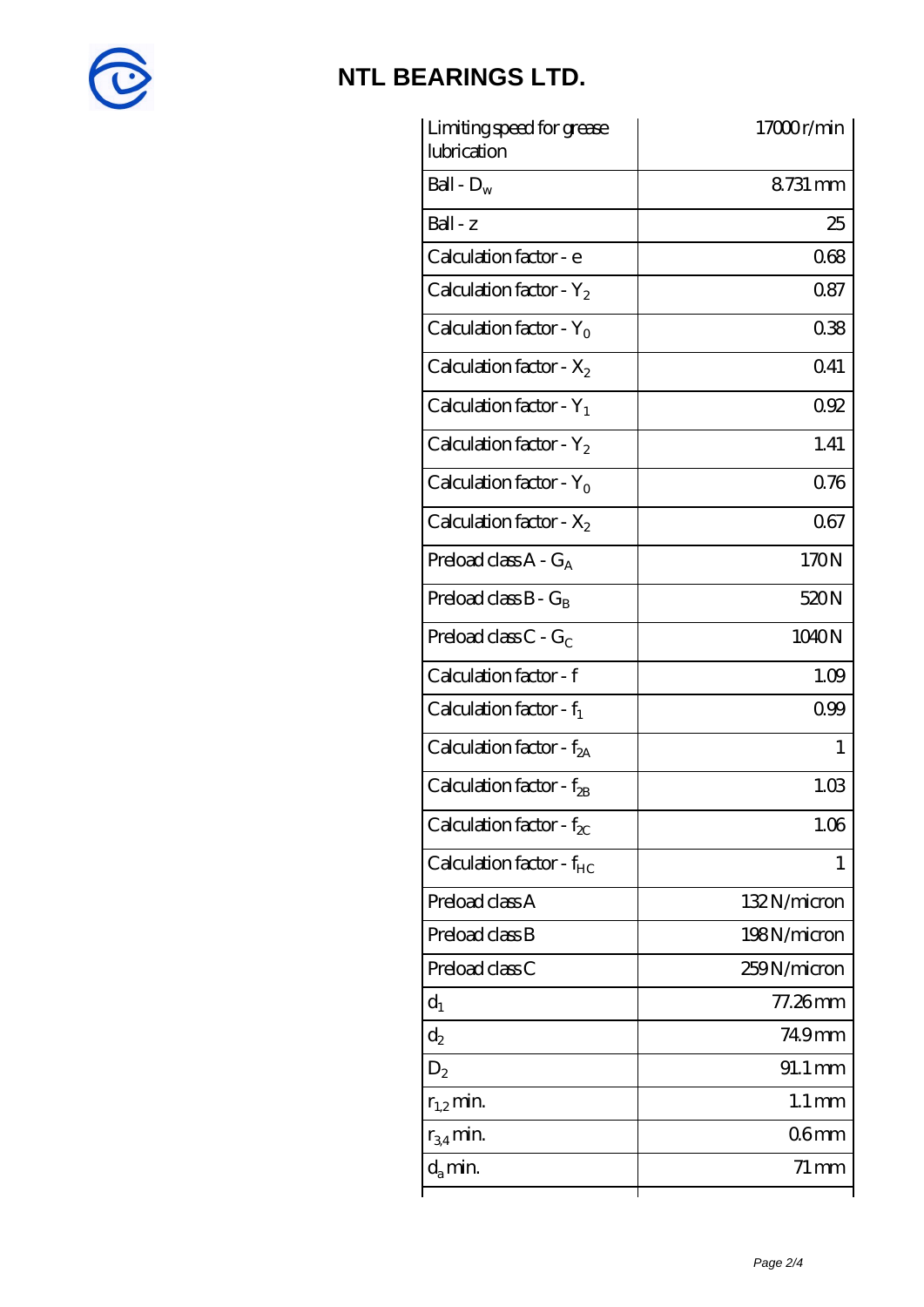

| Limiting speed for grease<br>lubrication | 17000r/min          |
|------------------------------------------|---------------------|
| Ball - $D_w$                             | 8.731 mm            |
| $Ball - z$                               | 25                  |
| Calculation factor - e                   | 068                 |
| Calculation factor - $Y_2$               | 087                 |
| Calculation factor - $Y_0$               | 038                 |
| Calculation factor - $X_2$               | 041                 |
| Calculation factor - $Y_1$               | 092                 |
| Calculation factor - $Y_2$               | 1.41                |
| Calculation factor - $Y_0$               | 0.76                |
| Calculation factor - $X_2$               | 067                 |
| Preload class $A - G_A$                  | 170N                |
| Preload class $B - G_B$                  | 520N                |
| Preload class $C$ - $G_C$                | 1040N               |
| Calculation factor - f                   | 1.09                |
| Calculation factor - $f_1$               | 099                 |
| Calculation factor - $f_{2A}$            | 1                   |
| Calculation factor - f <sub>2B</sub>     | 1.03                |
| Calculation factor - $f_{\chi}$          | 1.06                |
| Calculation factor - $f_{HC}$            | T                   |
| Preload class A                          | 132N/micron         |
| Preload class B                          | 198N/micron         |
| Preload class C                          | 259N/micron         |
| $d_1$                                    | $77.26$ mm          |
| $\mathrm{d}_2$                           | 74.9mm              |
| $D_2$                                    | 91.1 mm             |
| $r_{1,2}$ min.                           | $1.1 \,\mathrm{mm}$ |
| $r_{34}$ min.                            | 06mm                |
| $d_{a}$ min.                             | $71 \,\mathrm{mm}$  |
|                                          |                     |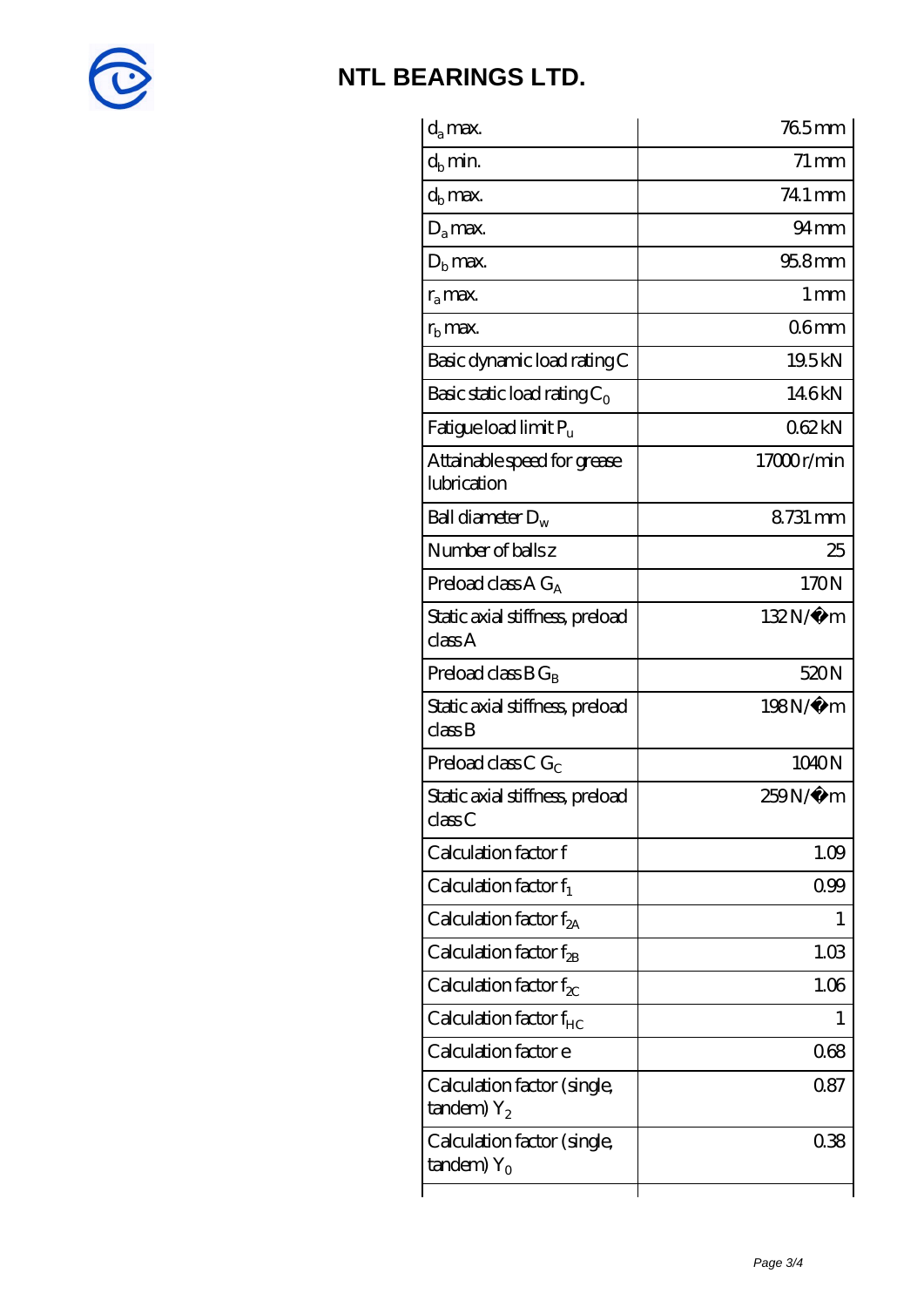

| $d_a$ max.                                               | 765mm              |
|----------------------------------------------------------|--------------------|
| $d_b$ min.                                               | $71 \,\mathrm{mm}$ |
| $d_h$ max.                                               | 74.1 mm            |
| $D_a$ max.                                               | 94 <sub>mm</sub>   |
| $Db$ max.                                                | $958$ mm           |
| $r_a$ max.                                               | $1 \,\mathrm{mm}$  |
| $rb$ max.                                                | 06mm               |
| Basic dynamic load rating C                              | 19.5kN             |
| Basic static load rating $C_0$                           | 146kN              |
| Fatigue load limit $P_u$                                 | 062kN              |
| Attainable speed for grease<br>lubrication               | 17000r/min         |
| Ball diameter $D_w$                                      | 8731 mm            |
| Number of balls z                                        | 25                 |
| Preload class $AG_A$                                     | 170N               |
| Static axial stiffness, preload<br>classA                | $132N/\mu$ m       |
| Preload class $BG_R$                                     | 520N               |
| Static axial stiffness, preload<br>classB                | 198N/μ m           |
| Preload class C $G_C$                                    | 1040N              |
| Static axial stiffness, preload<br>classC                | 259N/µ m           |
| Calculation factor f                                     | 1.09               |
| Calculation factor $f_1$                                 | 099                |
| Calculation factor $f_{2A}$                              | 1                  |
| Calculation factor $f_{\mathcal{R}}$                     | 1.03               |
| Calculation factor $f_{\chi}$                            | 1.06               |
| Calculation factor $f_{HC}$                              | 1                  |
| Calculation factor e                                     | 068                |
| Calculation factor (single,<br>$t$ andem) $Y_2$          | 0.87               |
| Calculation factor (single,<br>$t$ andem) Y <sub>o</sub> | 038                |
|                                                          |                    |